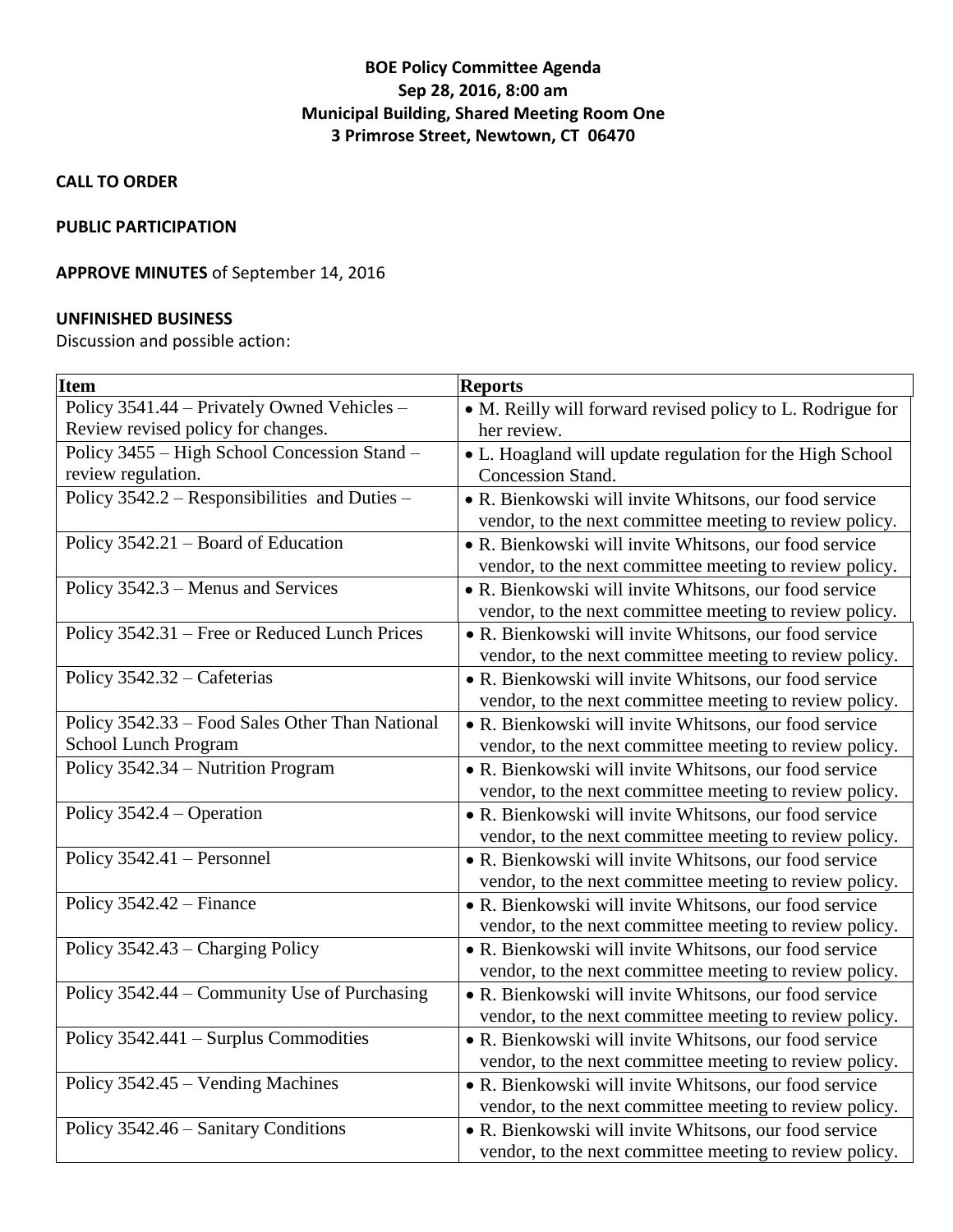# **BOE Policy Committee Agenda Sep 28, 2016, 8:00 am Municipal Building, Shared Meeting Room One 3 Primrose Street, Newtown, CT 06470**

**CALL TO ORDER**

#### **PUBLIC PARTICIPATION**

## **APPROVE MINUTES** of September 14, 2016

### **UNFINISHED BUSINESS**

Discussion and possible action:

| <b>Item</b>                                     | <b>Reports</b>                                             |
|-------------------------------------------------|------------------------------------------------------------|
| Policy 3541.44 - Privately Owned Vehicles -     | • M. Reilly will forward revised policy to L. Rodrigue for |
| Review revised policy for changes.              | her review.                                                |
| Policy 3455 – High School Concession Stand –    | • L. Hoagland will update regulation for the High School   |
| review regulation.                              | Concession Stand.                                          |
| Policy 3542.2 – Responsibilities and Duties –   | • R. Bienkowski will invite Whitsons, our food service     |
|                                                 | vendor, to the next committee meeting to review policy.    |
| Policy 3542.21 - Board of Education             | • R. Bienkowski will invite Whitsons, our food service     |
|                                                 | vendor, to the next committee meeting to review policy.    |
| Policy 3542.3 - Menus and Services              | • R. Bienkowski will invite Whitsons, our food service     |
|                                                 | vendor, to the next committee meeting to review policy.    |
| Policy 3542.31 - Free or Reduced Lunch Prices   | • R. Bienkowski will invite Whitsons, our food service     |
|                                                 | vendor, to the next committee meeting to review policy.    |
| Policy 3542.32 - Cafeterias                     | • R. Bienkowski will invite Whitsons, our food service     |
|                                                 | vendor, to the next committee meeting to review policy.    |
| Policy 3542.33 - Food Sales Other Than National | • R. Bienkowski will invite Whitsons, our food service     |
| School Lunch Program                            | vendor, to the next committee meeting to review policy.    |
| Policy 3542.34 - Nutrition Program              | • R. Bienkowski will invite Whitsons, our food service     |
|                                                 | vendor, to the next committee meeting to review policy.    |
| Policy $3542.4 -$ Operation                     | • R. Bienkowski will invite Whitsons, our food service     |
|                                                 | vendor, to the next committee meeting to review policy.    |
| Policy 3542.41 - Personnel                      | • R. Bienkowski will invite Whitsons, our food service     |
|                                                 | vendor, to the next committee meeting to review policy.    |
| Policy 3542.42 – Finance                        | • R. Bienkowski will invite Whitsons, our food service     |
|                                                 | vendor, to the next committee meeting to review policy.    |
| Policy 3542.43 – Charging Policy                | • R. Bienkowski will invite Whitsons, our food service     |
|                                                 | vendor, to the next committee meeting to review policy.    |
| Policy 3542.44 – Community Use of Purchasing    | • R. Bienkowski will invite Whitsons, our food service     |
|                                                 | vendor, to the next committee meeting to review policy.    |
| Policy 3542.441 - Surplus Commodities           | • R. Bienkowski will invite Whitsons, our food service     |
|                                                 | vendor, to the next committee meeting to review policy.    |
| Policy 3542.45 - Vending Machines               | • R. Bienkowski will invite Whitsons, our food service     |
|                                                 | vendor, to the next committee meeting to review policy.    |
| Policy 3542.46 - Sanitary Conditions            | • R. Bienkowski will invite Whitsons, our food service     |
|                                                 | vendor, to the next committee meeting to review policy.    |